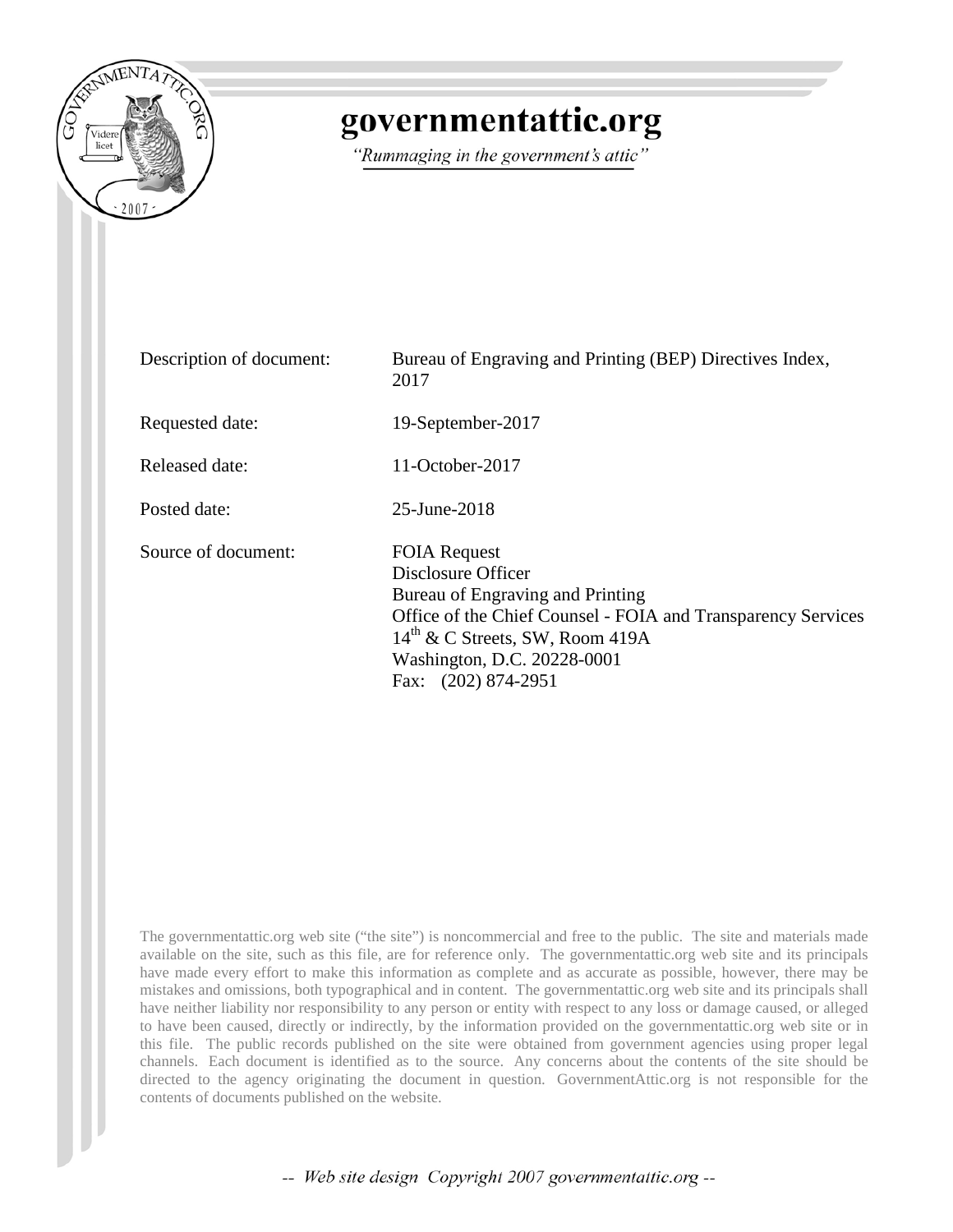

## governmentattic.org

"Rummaging in the government's attic"

| Description of document: | Bureau of Engraving and Printing (BEP) Directives Index,<br>2017                                                                                                                                                                                   |
|--------------------------|----------------------------------------------------------------------------------------------------------------------------------------------------------------------------------------------------------------------------------------------------|
| Requested date:          | 19-September-2017                                                                                                                                                                                                                                  |
| Released date:           | $11$ -October-2017                                                                                                                                                                                                                                 |
| Posted date:             | 25-June-2018                                                                                                                                                                                                                                       |
| Source of document:      | <b>FOIA Request</b><br>Disclosure Officer<br>Bureau of Engraving and Printing<br>Office of the Chief Counsel - FOIA and Transparency Services<br>$14^{\text{th}}$ & C Streets, SW, Room 419A<br>Washington, D.C. 20228-0001<br>Fax: (202) 874-2951 |

The governmentattic.org web site ("the site") is noncommercial and free to the public. The site and materials made available on the site, such as this file, are for reference only. The governmentattic.org web site and its principals have made every effort to make this information as complete and as accurate as possible, however, there may be mistakes and omissions, both typographical and in content. The governmentattic.org web site and its principals shall have neither liability nor responsibility to any person or entity with respect to any loss or damage caused, or alleged to have been caused, directly or indirectly, by the information provided on the governmentattic.org web site or in this file. The public records published on the site were obtained from government agencies using proper legal channels. Each document is identified as to the source. Any concerns about the contents of the site should be directed to the agency originating the document in question. GovernmentAttic.org is not responsible for the contents of documents published on the website.

-- Web site design Copyright 2007 governmentattic.org --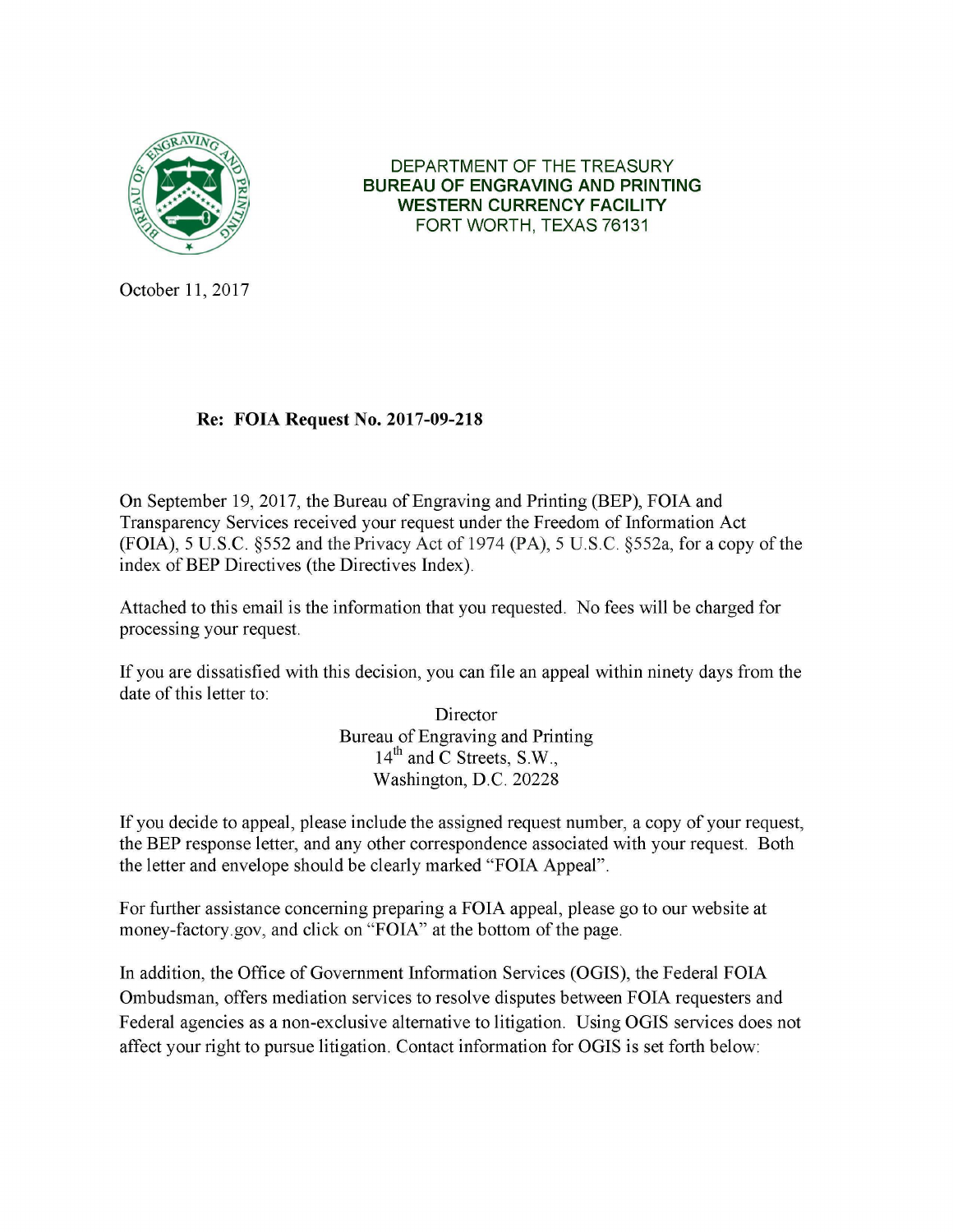

DEPARTMENT OF THE TREASURY **BUREAU OF ENGRAVING AND PRINTING WESTERN CURRENCY FACILITY**  FORT WORTH, TEXAS 76131

October 11, 2017

## **Re: FOIA Request No. 2017-09-218**

On September 19, 2017, the Bureau of Engraving and Printing (BEP), FOIA and Transparency Services received your request under the Freedom of Information Act (FOIA), 5 U.S.C. §552 and the Privacy Act of 1974 (PA), 5 U.S.C. §552a, for a copy of the index of BEP Directives (the Directives Index).

Attached to this email is the information that you requested. No fees will be charged for processing your request.

If you are dissatisfied with this decision, you can file an appeal within ninety days from the date of this letter to:

> Director Bureau of Engraving and Printing 14<sup>th</sup> and C Streets, S.W., Washington, **D.C.** 20228

If you decide to appeal, please include the assigned request number, a copy of your request, the BEP response letter, and any other correspondence associated with your request. Both the letter and envelope should be clearly marked "FOIA Appeal".

For further assistance concerning preparing a FOIA appeal, please go to our website at money-factory.gov, and click on "FOIA" at the bottom of the page.

In addition, the Office of Government Information Services (OGIS), the Federal FOIA Ombudsman, offers mediation services to resolve disputes between FOIA requesters and Federal agencies as a non-exclusive alternative to litigation. Using OGIS services does not affect your right to pursue litigation. Contact information for OGIS is set forth below: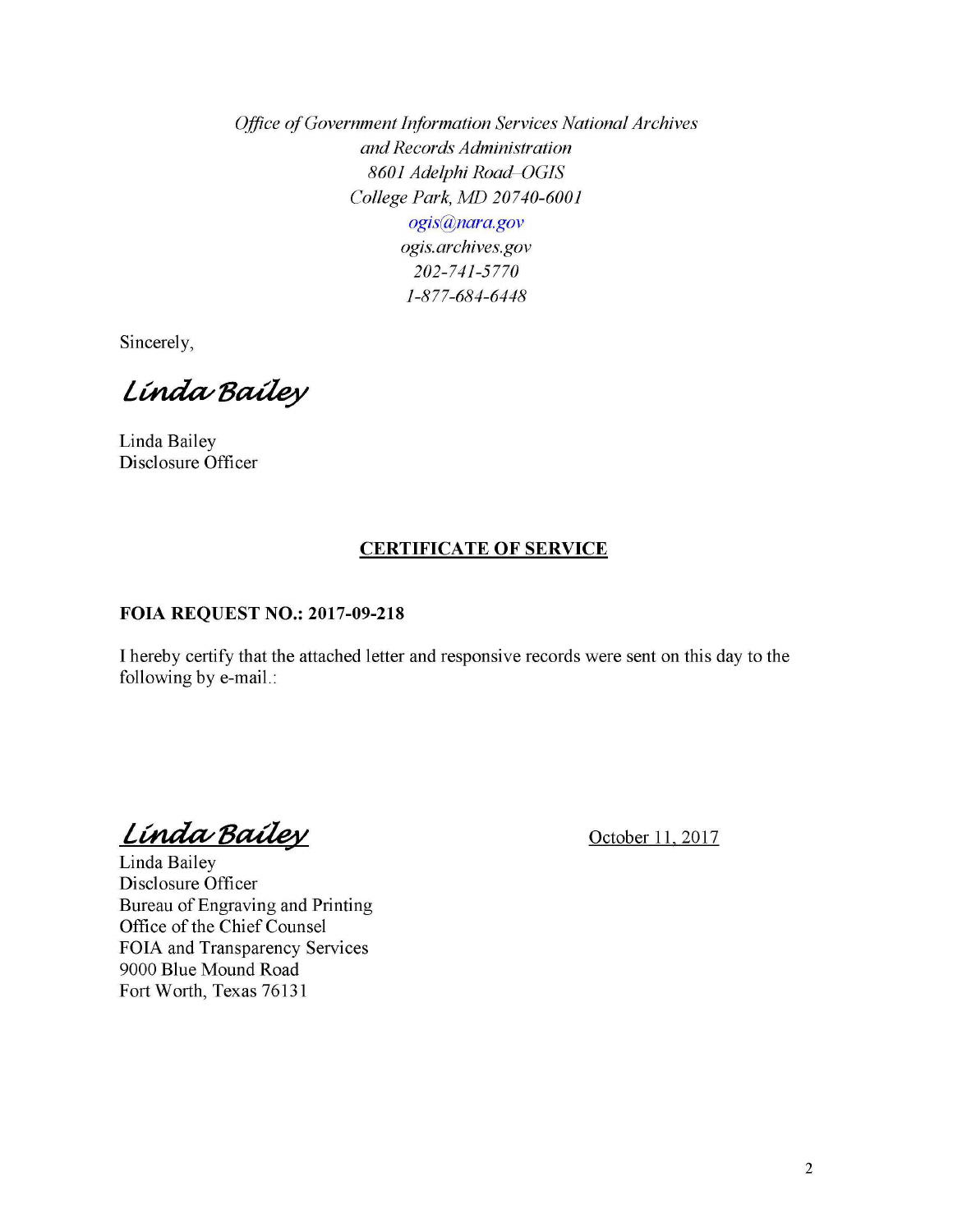*Office of Government Information Services National Archives and Records Administration 8601 Adelphi Road-OGIS College Park, MD 20740-6001 ogis@nara.gov ogis. archives.gov 202-741-5770 1-877-684-6448* 

Sincerely,

Linda Bailey

Linda Bailey Disclosure Officer

## **CERTIFICATE OF SERVICE**

## **FOIA REQUEST NO.: 2017-09-218**

I hereby certify that the attached letter and responsive records were sent on this day to the following by e-mail.:

*Línda Bailey* 

October 11, 2017

Linda Bailey Disclosure Officer Bureau of Engraving and Printing Office of the Chief Counsel FOIA and Transparency Services 9000 Blue Mound Road Fort Worth, Texas 76131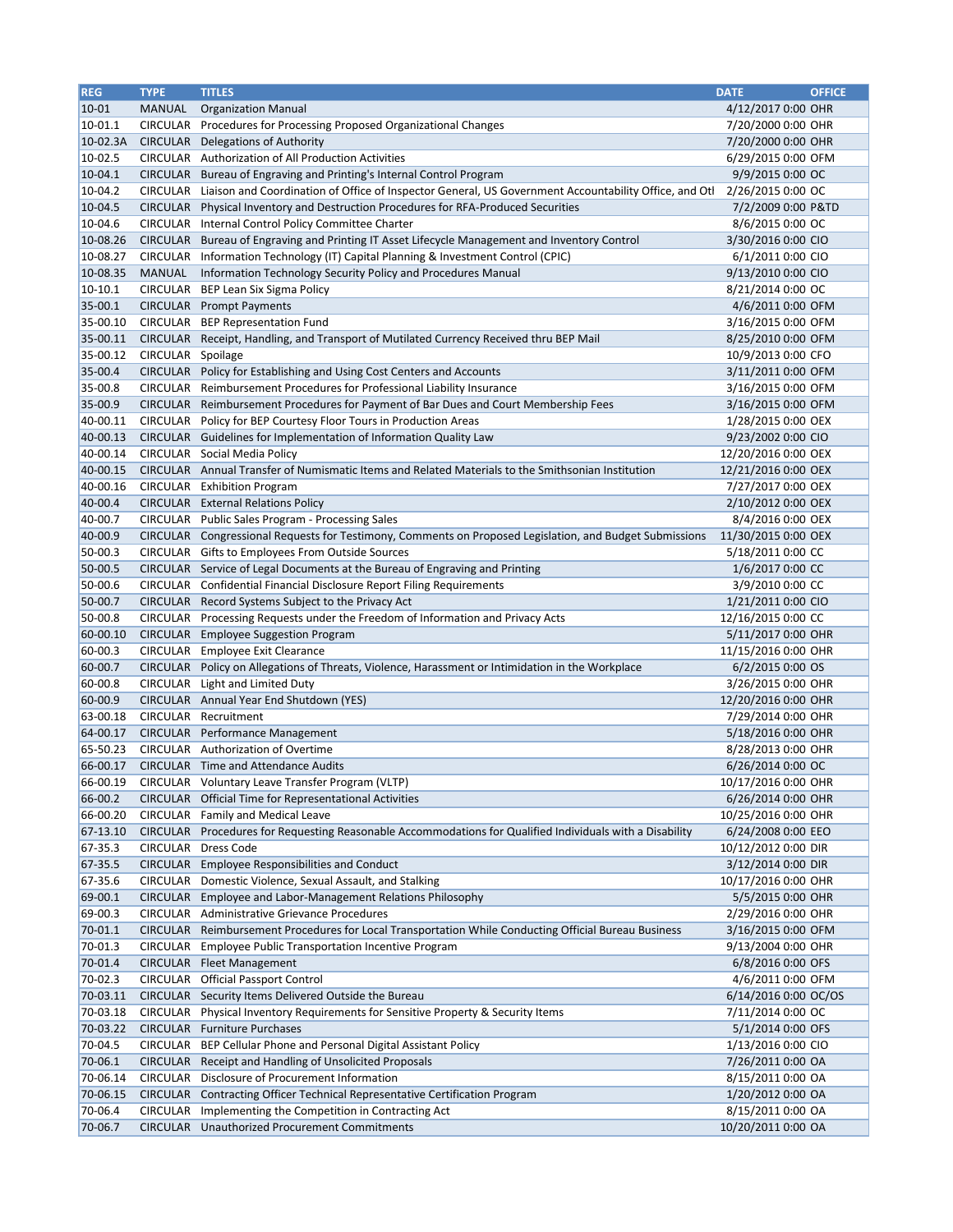| <b>REG</b>           | <b>TYPE</b>                        | <b>TITLES</b>                                                                                                        | <b>DATE</b>                               | <b>OFFICE</b> |
|----------------------|------------------------------------|----------------------------------------------------------------------------------------------------------------------|-------------------------------------------|---------------|
| $10 - 01$            | <b>MANUAL</b>                      | <b>Organization Manual</b>                                                                                           | 4/12/2017 0:00 OHR                        |               |
| 10-01.1              | <b>CIRCULAR</b>                    | Procedures for Processing Proposed Organizational Changes                                                            | 7/20/2000 0:00 OHR                        |               |
| 10-02.3A             | <b>CIRCULAR</b>                    | Delegations of Authority                                                                                             | 7/20/2000 0:00 OHR                        |               |
| 10-02.5              | <b>CIRCULAR</b>                    | Authorization of All Production Activities                                                                           | 6/29/2015 0:00 OFM                        |               |
| $10-04.1$            | <b>CIRCULAR</b>                    | Bureau of Engraving and Printing's Internal Control Program                                                          | 9/9/2015 0:00 OC                          |               |
| $10-04.2$            | <b>CIRCULAR</b>                    | Liaison and Coordination of Office of Inspector General, US Government Accountability Office, and Otl                | 2/26/2015 0:00 OC                         |               |
| 10-04.5              | <b>CIRCULAR</b>                    | Physical Inventory and Destruction Procedures for RFA-Produced Securities                                            | 7/2/2009 0:00 P&TD                        |               |
| 10-04.6              | <b>CIRCULAR</b>                    | Internal Control Policy Committee Charter                                                                            | 8/6/2015 0:00 OC                          |               |
| 10-08.26             | <b>CIRCULAR</b>                    | Bureau of Engraving and Printing IT Asset Lifecycle Management and Inventory Control                                 | 3/30/2016 0:00 CIO                        |               |
| 10-08.27             | <b>CIRCULAR</b>                    | Information Technology (IT) Capital Planning & Investment Control (CPIC)                                             | 6/1/2011 0:00 CIO                         |               |
| 10-08.35             | <b>MANUAL</b>                      | Information Technology Security Policy and Procedures Manual                                                         | 9/13/2010 0:00 CIO                        |               |
| 10-10.1              | <b>CIRCULAR</b>                    | BEP Lean Six Sigma Policy                                                                                            | 8/21/2014 0:00 OC                         |               |
| 35-00.1              | <b>CIRCULAR</b>                    | <b>Prompt Payments</b>                                                                                               | 4/6/2011 0:00 OFM                         |               |
| 35-00.10             | <b>CIRCULAR</b>                    | <b>BEP Representation Fund</b>                                                                                       | 3/16/2015 0:00 OFM                        |               |
| 35-00.11             | <b>CIRCULAR</b>                    | Receipt, Handling, and Transport of Mutilated Currency Received thru BEP Mail                                        | 8/25/2010 0:00 OFM                        |               |
| 35-00.12             | <b>CIRCULAR</b>                    | Spoilage                                                                                                             | 10/9/2013 0:00 CFO                        |               |
| 35-00.4              | <b>CIRCULAR</b>                    | Policy for Establishing and Using Cost Centers and Accounts                                                          | 3/11/2011 0:00 OFM                        |               |
| 35-00.8              | <b>CIRCULAR</b>                    | Reimbursement Procedures for Professional Liability Insurance                                                        | 3/16/2015 0:00 OFM                        |               |
| 35-00.9              | <b>CIRCULAR</b>                    | Reimbursement Procedures for Payment of Bar Dues and Court Membership Fees                                           | 3/16/2015 0:00 OFM                        |               |
| 40-00.11             | <b>CIRCULAR</b>                    | Policy for BEP Courtesy Floor Tours in Production Areas                                                              | 1/28/2015 0:00 OEX                        |               |
| 40-00.13             | <b>CIRCULAR</b>                    | Guidelines for Implementation of Information Quality Law                                                             | 9/23/2002 0:00 CIO                        |               |
| 40-00.14             | <b>CIRCULAR</b>                    | Social Media Policy                                                                                                  | 12/20/2016 0:00 OEX                       |               |
| 40-00.15             | <b>CIRCULAR</b>                    | Annual Transfer of Numismatic Items and Related Materials to the Smithsonian Institution                             | 12/21/2016 0:00 OEX                       |               |
| 40-00.16             | <b>CIRCULAR</b>                    | <b>Exhibition Program</b>                                                                                            | 7/27/2017 0:00 OEX                        |               |
| 40-00.4              | <b>CIRCULAR</b>                    | <b>External Relations Policy</b>                                                                                     | 2/10/2012 0:00 OEX                        |               |
| 40-00.7              | <b>CIRCULAR</b>                    | <b>Public Sales Program - Processing Sales</b>                                                                       | 8/4/2016 0:00 OEX                         |               |
| 40-00.9              | <b>CIRCULAR</b>                    | Congressional Requests for Testimony, Comments on Proposed Legislation, and Budget Submissions                       | 11/30/2015 0:00 OEX                       |               |
| 50-00.3              | <b>CIRCULAR</b>                    | Gifts to Employees From Outside Sources                                                                              | 5/18/2011 0:00 CC                         |               |
| 50-00.5              |                                    | CIRCULAR Service of Legal Documents at the Bureau of Engraving and Printing                                          | 1/6/2017 0:00 CC                          |               |
| 50-00.6              |                                    | CIRCULAR Confidential Financial Disclosure Report Filing Requirements                                                | 3/9/2010 0:00 CC                          |               |
| 50-00.7              | <b>CIRCULAR</b>                    | Record Systems Subject to the Privacy Act                                                                            | 1/21/2011 0:00 CIO                        |               |
| 50-00.8              | <b>CIRCULAR</b>                    | Processing Requests under the Freedom of Information and Privacy Acts                                                | 12/16/2015 0:00 CC                        |               |
| 60-00.10             | <b>CIRCULAR</b>                    | <b>Employee Suggestion Program</b>                                                                                   | 5/11/2017 0:00 OHR                        |               |
| 60-00.3              | <b>CIRCULAR</b>                    | <b>Employee Exit Clearance</b>                                                                                       | 11/15/2016 0:00 OHR                       |               |
| 60-00.7              | <b>CIRCULAR</b>                    | Policy on Allegations of Threats, Violence, Harassment or Intimidation in the Workplace                              | 6/2/2015 0:00 OS                          |               |
| 60-00.8              | <b>CIRCULAR</b>                    | Light and Limited Duty                                                                                               | 3/26/2015 0:00 OHR                        |               |
| 60-00.9              | <b>CIRCULAR</b>                    | Annual Year End Shutdown (YES)                                                                                       | 12/20/2016 0:00 OHR                       |               |
| 63-00.18             | <b>CIRCULAR</b>                    | Recruitment                                                                                                          | 7/29/2014 0:00 OHR                        |               |
| 64-00.17             | <b>CIRCULAR</b>                    | Performance Management                                                                                               | 5/18/2016 0:00 OHR                        |               |
| 65-50.23             | <b>CIRCULAR</b>                    | Authorization of Overtime                                                                                            | 8/28/2013 0:00 OHR                        |               |
| 66-00.17             |                                    | <b>CIRCULAR</b> Time and Attendance Audits                                                                           | 6/26/2014 0:00 OC                         |               |
| 66-00.19             | <b>CIRCULAR</b>                    | Voluntary Leave Transfer Program (VLTP)                                                                              | 10/17/2016 0:00 OHR                       |               |
| 66-00.2              | <b>CIRCULAR</b>                    | <b>Official Time for Representational Activities</b>                                                                 | 6/26/2014 0:00 OHR                        |               |
| 66-00.20<br>67-13.10 | <b>CIRCULAR</b><br><b>CIRCULAR</b> | Family and Medical Leave                                                                                             | 10/25/2016 0:00 OHR                       |               |
|                      | <b>CIRCULAR</b>                    | Procedures for Requesting Reasonable Accommodations for Qualified Individuals with a Disability<br><b>Dress Code</b> | 6/24/2008 0:00 EEO                        |               |
| 67-35.3<br>67-35.5   | <b>CIRCULAR</b>                    | <b>Employee Responsibilities and Conduct</b>                                                                         | 10/12/2012 0:00 DIR<br>3/12/2014 0:00 DIR |               |
| 67-35.6              | <b>CIRCULAR</b>                    |                                                                                                                      |                                           |               |
| 69-00.1              | <b>CIRCULAR</b>                    | Domestic Violence, Sexual Assault, and Stalking<br>Employee and Labor-Management Relations Philosophy                | 10/17/2016 0:00 OHR<br>5/5/2015 0:00 OHR  |               |
| 69-00.3              | <b>CIRCULAR</b>                    | Administrative Grievance Procedures                                                                                  | 2/29/2016 0:00 OHR                        |               |
| 70-01.1              | <b>CIRCULAR</b>                    | Reimbursement Procedures for Local Transportation While Conducting Official Bureau Business                          | 3/16/2015 0:00 OFM                        |               |
| 70-01.3              | <b>CIRCULAR</b>                    | Employee Public Transportation Incentive Program                                                                     | 9/13/2004 0:00 OHR                        |               |
| 70-01.4              | <b>CIRCULAR</b>                    | <b>Fleet Management</b>                                                                                              | 6/8/2016 0:00 OFS                         |               |
| 70-02.3              | <b>CIRCULAR</b>                    | <b>Official Passport Control</b>                                                                                     | 4/6/2011 0:00 OFM                         |               |
| 70-03.11             | <b>CIRCULAR</b>                    | Security Items Delivered Outside the Bureau                                                                          | 6/14/2016 0:00 OC/OS                      |               |
| 70-03.18             | <b>CIRCULAR</b>                    | Physical Inventory Requirements for Sensitive Property & Security Items                                              | 7/11/2014 0:00 OC                         |               |
| 70-03.22             | <b>CIRCULAR</b>                    | <b>Furniture Purchases</b>                                                                                           | 5/1/2014 0:00 OFS                         |               |
| 70-04.5              | <b>CIRCULAR</b>                    | BEP Cellular Phone and Personal Digital Assistant Policy                                                             | 1/13/2016 0:00 CIO                        |               |
| 70-06.1              | <b>CIRCULAR</b>                    | Receipt and Handling of Unsolicited Proposals                                                                        | 7/26/2011 0:00 OA                         |               |
| 70-06.14             | <b>CIRCULAR</b>                    | Disclosure of Procurement Information                                                                                | 8/15/2011 0:00 OA                         |               |
| 70-06.15             | <b>CIRCULAR</b>                    | Contracting Officer Technical Representative Certification Program                                                   | 1/20/2012 0:00 OA                         |               |
| 70-06.4              | <b>CIRCULAR</b>                    | Implementing the Competition in Contracting Act                                                                      | 8/15/2011 0:00 OA                         |               |
| 70-06.7              | <b>CIRCULAR</b>                    | <b>Unauthorized Procurement Commitments</b>                                                                          | 10/20/2011 0:00 OA                        |               |
|                      |                                    |                                                                                                                      |                                           |               |